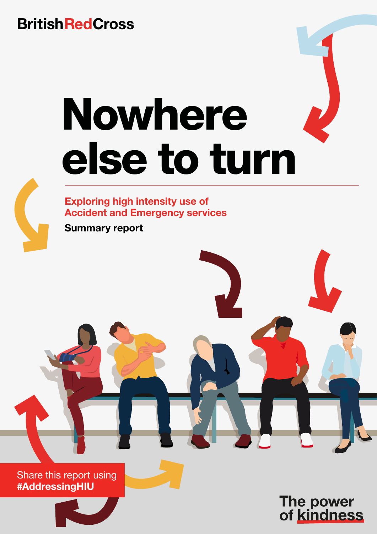# **British Red Cross**

# Nowhere else to turn



Exploring high intensity use of Accident and Emergency services

Summary report

Share this report using #AddressingHIU



The power<br>of kindness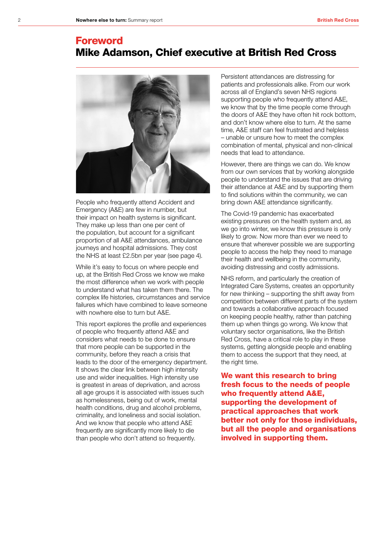# Foreword Mike Adamson, Chief executive at British Red Cross



People who frequently attend Accident and Emergency (A&E) are few in number, but their impact on health systems is significant. They make up less than one per cent of the population, but account for a significant proportion of all A&E attendances, ambulance journeys and hospital admissions. They cost the NHS at least £2.5bn per year (see page 4).

While it's easy to focus on where people end up, at the British Red Cross we know we make the most difference when we work with people to understand what has taken them there. The complex life histories, circumstances and service failures which have combined to leave someone with nowhere else to turn but A&E.

This report explores the profile and experiences of people who frequently attend A&E and considers what needs to be done to ensure that more people can be supported in the community, before they reach a crisis that leads to the door of the emergency department. It shows the clear link between high intensity use and wider inequalities. High intensity use is greatest in areas of deprivation, and across all age groups it is associated with issues such as homelessness, being out of work, mental health conditions, drug and alcohol problems, criminality, and loneliness and social isolation. And we know that people who attend A&E frequently are significantly more likely to die than people who don't attend so frequently.

Persistent attendances are distressing for patients and professionals alike. From our work across all of England's seven NHS regions supporting people who frequently attend A&E, we know that by the time people come through the doors of A&E they have often hit rock bottom, and don't know where else to turn. At the same time, A&E staff can feel frustrated and helpless – unable or unsure how to meet the complex combination of mental, physical and non-clinical needs that lead to attendance.

However, there are things we can do. We know from our own services that by working alongside people to understand the issues that are driving their attendance at A&E and by supporting them to find solutions within the community, we can bring down A&E attendance significantly.

The Covid-19 pandemic has exacerbated existing pressures on the health system and, as we go into winter, we know this pressure is only likely to grow. Now more than ever we need to ensure that wherever possible we are supporting people to access the help they need to manage their health and wellbeing in the community, avoiding distressing and costly admissions.

NHS reform, and particularly the creation of Integrated Care Systems, creates an opportunity for new thinking – supporting the shift away from competition between different parts of the system and towards a collaborative approach focused on keeping people healthy, rather than patching them up when things go wrong. We know that voluntary sector organisations, like the British Red Cross, have a critical role to play in these systems, getting alongside people and enabling them to access the support that they need, at the right time.

We want this research to bring fresh focus to the needs of people who frequently attend A&E, supporting the development of practical approaches that work better not only for those individuals, but all the people and organisations involved in supporting them.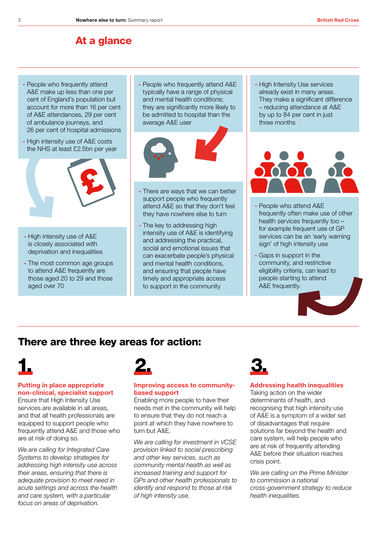# At a glance

- People who frequently attend A&E make up less than one per cent of England's population but account for more than 16 per cent of A&E attendances, 29 per cent of ambulance journeys, and 26 per cent of hospital admissions
- High intensity use of A&E costs the NHS at least £2.5bn per year



- High intensity use of A&E is closely associated with deprivation and inequalities
- The most common age groups to attend A&E frequently are those aged 20 to 29 and those aged over 70

- People who frequently attend A&E typically have a range of physical and mental health conditions; they are significantly more likely to be admitted to hospital than the average A&E user



- There are ways that we can better support people who frequently attend A&E so that they don't feel they have nowhere else to turn
- The key to addressing high intensity use of A&E is identifying and addressing the practical, social and emotional issues that can exacerbate people's physical and mental health conditions, and ensuring that people have timely and appropriate access to support in the community

- High Intensity Use services already exist in many areas. They make a significant difference – reducing attendance at A&E by up to 84 per cent in just three months



- People who attend A&E frequently often make use of other health services frequently too – for example frequent use of GP services can be an 'early warning sign' of high intensity use
- Gaps in support in the community, and restrictive eligibility criteria, can lead to people starting to attend A&E frequently.

# There are three key areas for action:



## Putting in place appropriate non-clinical, specialist support

Ensure that High Intensity Use services are available in all areas, and that all health professionals are equipped to support people who frequently attend A&E and those who are at risk of doing so.

*We are calling for Integrated Care Systems to develop strategies for addressing high intensity use across their areas, ensuring that there is adequate provision to meet need in acute settings and across the health and care system, with a particular focus on areas of deprivation.* 



# Improving access to communitybased support

Enabling more people to have their needs met in the community will help to ensure that they do not reach a point at which they have nowhere to turn but A&E.

*We are calling for investment in VCSE provision linked to social prescribing and other key services, such as community mental health as well as increased training and support for GPs and other health professionals to identify and respond to those at risk of high intensity use.*



# Addressing health inequalities

Taking action on the wider determinants of health, and recognising that high intensity use of A&E is a symptom of a wider set of disadvantages that require solutions far beyond the health and care system, will help people who are at risk of frequently attending A&E before their situation reaches crisis point.

*We are calling on the Prime Minister to commission a national cross-government strategy to reduce health inequalities.*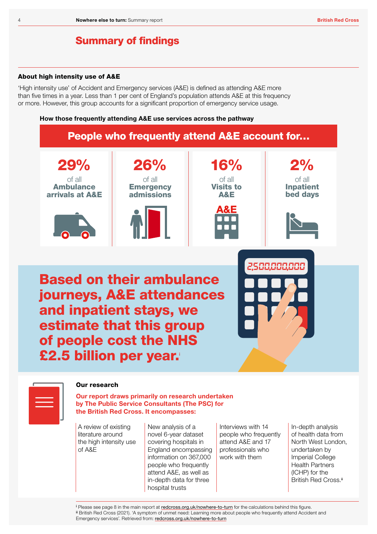# Summary of findings

# About high intensity use of A&E

'High intensity use' of Accident and Emergency services (A&E) is defined as attending A&E more than five times in a year. Less than 1 per cent of England's population attends A&E at this frequency or more. However, this group accounts for a significant proportion of emergency service usage.

### How those frequently attending A&E use services across the pathway





# Our research

Our report draws primarily on research undertaken by The Public Service Consultants (The PSC) for the British Red Cross. It encompasses:

A review of existing literature around the high intensity use of A&E

New analysis of a novel 6-year dataset covering hospitals in England encompassing information on 367,000 people who frequently attend A&E, as well as in-depth data for three hospital trusts

Interviews with 14 people who frequently attend A&E and 17 professionals who work with them

In-depth analysis of health data from North West London, undertaken by Imperial College Health Partners (ICHP) for the British Red Cross.<sup>ii</sup>

<sup>i</sup> Please see page 8 in the main report at [redcross.org.uk/nowhere-to-turn](http://redcross.org.uk/nowhere-to-turn) for the calculations behind this figure. ii British Red Cross (2021). 'A symptom of unmet need: Learning more about people who frequently attend Accident and Emergency services'. Retrieved from: [redcross.org.uk/nowhere-to-turn](http://redcross.org.uk/nowhere-to-turn)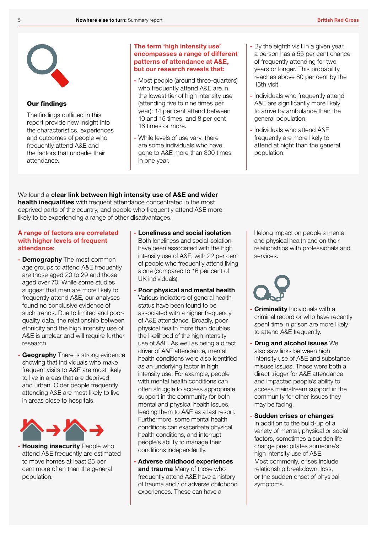

# Our findings

The findings outlined in this report provide new insight into the characteristics, experiences and outcomes of people who frequently attend A&E and the factors that underlie their attendance.

# The term 'high intensity use' encompasses a range of different patterns of attendance at A&E, but our research reveals that:

- Most people (around three-quarters) who frequently attend A&E are in the lowest tier of high intensity use (attending five to nine times per year): 14 per cent attend between 10 and 15 times, and 8 per cent 16 times or more.
- While levels of use vary, there are some individuals who have gone to A&E more than 300 times in one year.
- By the eighth visit in a given year, a person has a 55 per cent chance of frequently attending for two years or longer. This probability reaches above 80 per cent by the 15th visit.
- Individuals who frequently attend A&E are significantly more likely to arrive by ambulance than the general population.
- Individuals who attend A&E frequently are more likely to attend at night than the general population.

We found a clear link between high intensity use of A&E and wider health inequalities with frequent attendance concentrated in the most deprived parts of the country, and people who frequently attend A&E more likely to be experiencing a range of other disadvantages.

# A range of factors are correlated with higher levels of frequent attendance:

- **Demography** The most common age groups to attend A&E frequently are those aged 20 to 29 and those aged over 70. While some studies suggest that men are more likely to frequently attend A&E, our analyses found no conclusive evidence of such trends. Due to limited and poorquality data, the relationship between ethnicity and the high intensity use of A&E is unclear and will require further research.
- **Geography** There is strong evidence showing that individuals who make frequent visits to A&E are most likely to live in areas that are deprived and urban. Older people frequently attending A&E are most likely to live in areas close to hospitals.



- Housing insecurity People who attend A&E frequently are estimated to move homes at least 25 per cent more often than the general population.

- Loneliness and social isolation Both loneliness and social isolation have been associated with the high intensity use of A&E, with 22 per cent of people who frequently attend living alone (compared to 16 per cent of UK individuals).
- Poor physical and mental health Various indicators of general health status have been found to be associated with a higher frequency of A&E attendance. Broadly, poor physical health more than doubles the likelihood of the high intensity use of A&E. As well as being a direct driver of A&E attendance, mental health conditions were also identified as an underlying factor in high intensity use. For example, people with mental health conditions can often struggle to access appropriate support in the community for both mental and physical health issues, leading them to A&E as a last resort. Furthermore, some mental health conditions can exacerbate physical health conditions, and interrupt people's ability to manage their conditions independently.
- Adverse childhood experiences and trauma Many of those who frequently attend A&E have a history of trauma and / or adverse childhood experiences. These can have a

lifelong impact on people's mental and physical health and on their relationships with professionals and services.

- Criminality Individuals with a criminal record or who have recently spent time in prison are more likely to attend A&E frequently.
- Drug and alcohol issues We also saw links between high intensity use of A&E and substance misuse issues. These were both a direct trigger for A&E attendance and impacted people's ability to access mainstream support in the community for other issues they may be facing.
- Sudden crises or changes In addition to the build-up of a variety of mental, physical or social factors, sometimes a sudden life change precipitates someone's high intensity use of A&E. Most commonly, crises include relationship breakdown, loss, or the sudden onset of physical symptoms.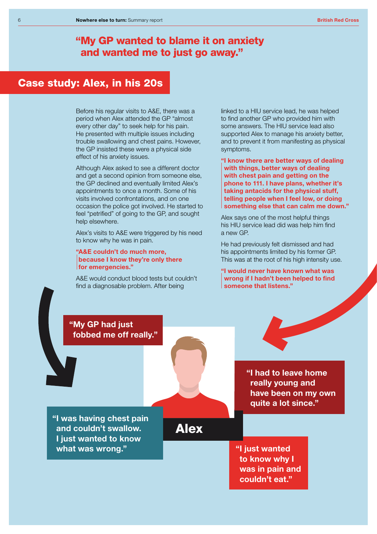# "My GP wanted to blame it on anxiety and wanted me to just go away."

# Case study: Alex, in his 20s

Before his regular visits to A&E, there was a period when Alex attended the GP "almost every other day" to seek help for his pain. He presented with multiple issues including trouble swallowing and chest pains. However, the GP insisted these were a physical side effect of his anxiety issues.

Although Alex asked to see a different doctor and get a second opinion from someone else, the GP declined and eventually limited Alex's appointments to once a month. Some of his visits involved confrontations, and on one occasion the police got involved. He started to feel "petrified" of going to the GP, and sought help elsewhere.

Alex's visits to A&E were triggered by his need to know why he was in pain.

### "A&E couldn't do much more, because I know they're only there for emergencies."

A&E would conduct blood tests but couldn't find a diagnosable problem. After being

linked to a HIU service lead, he was helped to find another GP who provided him with some answers. The HIU service lead also supported Alex to manage his anxiety better, and to prevent it from manifesting as physical symptoms.

"I know there are better ways of dealing with things, better ways of dealing with chest pain and getting on the phone to 111. I have plans, whether it's taking antacids for the physical stuff, telling people when I feel low, or doing something else that can calm me down."

Alex says one of the most helpful things his HIU service lead did was help him find a new GP.

He had previously felt dismissed and had his appointments limited by his former GP. This was at the root of his high intensity use.

## "I would never have known what was wrong if I hadn't been helped to find someone that listens."

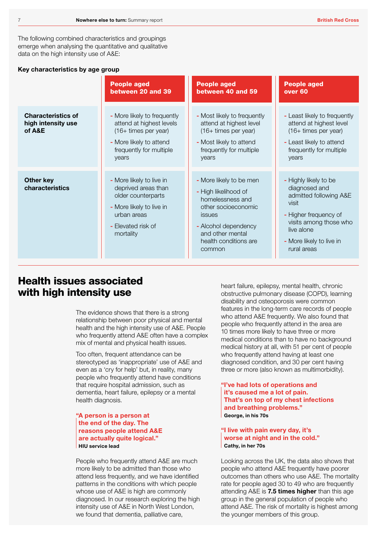The following combined characteristics and groupings emerge when analysing the quantitative and qualitative data on the high intensity use of A&E:

# Key characteristics by age group

|                                                           | <b>People aged</b><br>between 20 and 39                                                                                                             | <b>People aged</b><br>between 40 and 59                                                                                                                                             | <b>People aged</b><br>over <sub>60</sub>                                                                                                                                              |
|-----------------------------------------------------------|-----------------------------------------------------------------------------------------------------------------------------------------------------|-------------------------------------------------------------------------------------------------------------------------------------------------------------------------------------|---------------------------------------------------------------------------------------------------------------------------------------------------------------------------------------|
| <b>Characteristics of</b><br>high intensity use<br>of A&E | - More likely to frequently<br>attend at highest levels<br>(16+ times per year)<br>- More likely to attend<br>frequently for multiple<br>years      | - Most likely to frequently<br>attend at highest level<br>(16+ times per year)<br>- Most likely to attend<br>frequently for multiple<br>years                                       | - Least likely to frequently<br>attend at highest level<br>(16+ times per year)<br>- Least likely to attend<br>frequently for multiple<br>years                                       |
| <b>Other key</b><br>characteristics                       | - More likely to live in<br>deprived areas than<br>older counterparts<br>- More likely to live in<br>urban areas<br>- Elevated risk of<br>mortality | - More likely to be men<br>- High likelihood of<br>homelessness and<br>other socioeconomic<br>issues<br>- Alcohol dependency<br>and other mental<br>health conditions are<br>common | - Highly likely to be<br>diagnosed and<br>admitted following A&E<br>visit<br>- Higher frequency of<br>visits among those who<br>live alone<br>- More likely to live in<br>rural areas |

# Health issues associated with high intensity use

The evidence shows that there is a strong relationship between poor physical and mental health and the high intensity use of A&E. People who frequently attend A&E often have a complex mix of mental and physical health issues.

Too often, frequent attendance can be stereotyped as 'inappropriate' use of A&E and even as a 'cry for help' but, in reality, many people who frequently attend have conditions that require hospital admission, such as dementia, heart failure, epilepsy or a mental health diagnosis.

# "A person is a person at the end of the day. The reasons people attend A&E are actually quite logical." HIU service lead

People who frequently attend A&E are much more likely to be admitted than those who attend less frequently, and we have identified patterns in the conditions with which people whose use of A&E is high are commonly diagnosed. In our research exploring the high intensity use of A&E in North West London, we found that dementia, palliative care,

heart failure, epilepsy, mental health, chronic obstructive pulmonary disease (COPD), learning disability and osteoporosis were common features in the long-term care records of people who attend A&E frequently. We also found that people who frequently attend in the area are 10 times more likely to have three or more medical conditions than to have no background medical history at all, with 51 per cent of people who frequently attend having at least one diagnosed condition, and 30 per cent having three or more (also known as multimorbidity).

"I've had lots of operations and it's caused me a lot of pain. That's on top of my chest infections and breathing problems." George, in his 70s

# "I live with pain every day, it's worse at night and in the cold." Cathy, in her 70s

Looking across the UK, the data also shows that people who attend A&E frequently have poorer outcomes than others who use A&E. The mortality rate for people aged 30 to 49 who are frequently attending A&E is 7.5 times higher than this age group in the general population of people who attend A&E. The risk of mortality is highest among the younger members of this group.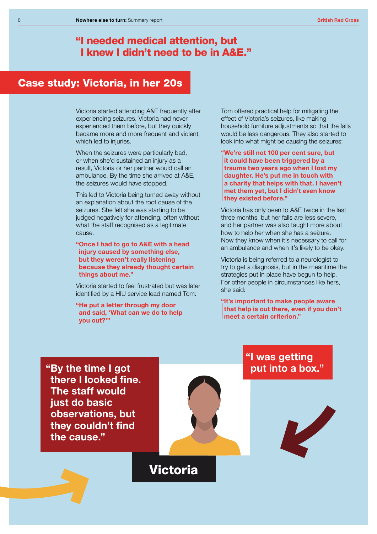# "I needed medical attention, but I knew I didn't need to be in A&E."

# Case study: Victoria, in her 20s

Victoria started attending A&E frequently after experiencing seizures. Victoria had never experienced them before, but they quickly became more and more frequent and violent, which led to injuries.

When the seizures were particularly bad, or when she'd sustained an injury as a result, Victoria or her partner would call an ambulance. By the time she arrived at A&E, the seizures would have stopped.

This led to Victoria being turned away without an explanation about the root cause of the seizures. She felt she was starting to be judged negatively for attending, often without what the staff recognised as a legitimate cause.

"Once I had to go to A&E with a head injury caused by something else, but they weren't really listening because they already thought certain things about me."

Victoria started to feel frustrated but was later identified by a HIU service lead named Tom:

"He put a letter through my door and said, 'What can we do to help you out?'"

Tom offered practical help for mitigating the effect of Victoria's seizures, like making household furniture adjustments so that the falls would be less dangerous. They also started to look into what might be causing the seizures:

"We're still not 100 per cent sure, but it could have been triggered by a trauma two years ago when I lost my daughter. He's put me in touch with a charity that helps with that. I haven't met them yet, but I didn't even know they existed before."

Victoria has only been to A&E twice in the last three months, but her falls are less severe, and her partner was also taught more about how to help her when she has a seizure. Now they know when it's necessary to call for an ambulance and when it's likely to be okay.

Victoria is being referred to a neurologist to try to get a diagnosis, but in the meantime the strategies put in place have begun to help. For other people in circumstances like hers, she said:

"It's important to make people aware that help is out there, even if you don't meet a certain criterion."

"By the time I got there I looked fine. The staff would just do basic observations, but they couldn't find the cause."



# "I was getting put into a box."



# Victoria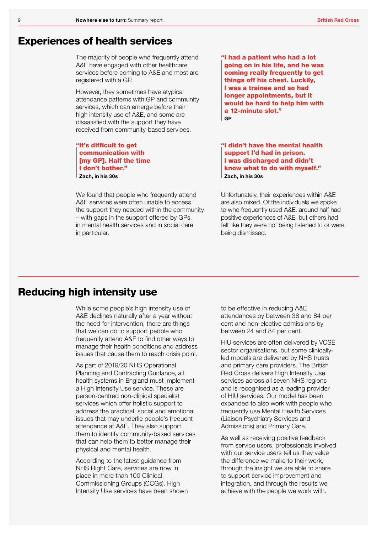# Experiences of health services

The majority of people who frequently attend A&E have engaged with other healthcare services before coming to A&E and most are registered with a GP.

However, they sometimes have atypical attendance patterns with GP and community services, which can emerge before their high intensity use of A&E, and some are dissatisfied with the support they have received from community-based services.

"It's difficult to get communication with [my GP]. Half the time I don't bother." Zach, in his 30s

We found that people who frequently attend A&E services were often unable to access the support they needed within the community – with gaps in the support offered by GPs, in mental health services and in social care in particular.

"I had a patient who had a lot going on in his life, and he was coming really frequently to get things off his chest. Luckily, I was a trainee and so had longer appointments, but it would be hard to help him with a 12-minute slot." **GP** 

"I didn't have the mental health support I'd had in prison. I was discharged and didn't know what to do with myself." Zach, in his 30s

Unfortunately, their experiences within A&E are also mixed. Of the individuals we spoke to who frequently used A&E, around half had positive experiences of A&E, but others had felt like they were not being listened to or were being dismissed.

# Reducing high intensity use

While some people's high intensity use of A&E declines naturally after a year without the need for intervention, there are things that we can do to support people who frequently attend A&E to find other ways to manage their health conditions and address issues that cause them to reach crisis point.

As part of 2019/20 NHS Operational Planning and Contracting Guidance, all health systems in England must implement a High Intensity Use service. These are person-centred non-clinical specialist services which offer holistic support to address the practical, social and emotional issues that may underlie people's frequent attendance at A&E. They also support them to identify community-based services that can help them to better manage their physical and mental health.

According to the latest guidance from NHS Right Care, services are now in place in more than 100 Clinical Commissioning Groups (CCGs). High Intensity Use services have been shown to be effective in reducing A&E attendances by between 38 and 84 per cent and non-elective admissions by between 24 and 84 per cent.

HIU services are often delivered by VCSE sector organisations, but some clinicallyled models are delivered by NHS trusts and primary care providers. The British Red Cross delivers High Intensity Use services across all seven NHS regions and is recognised as a leading provider of HIU services. Our model has been expanded to also work with people who frequently use Mental Health Services (Liaison Psychiatry Services and Admissions) and Primary Care.

As well as receiving positive feedback from service users, professionals involved with our service users tell us they value the difference we make to their work, through the insight we are able to share to support service improvement and integration, and through the results we achieve with the people we work with.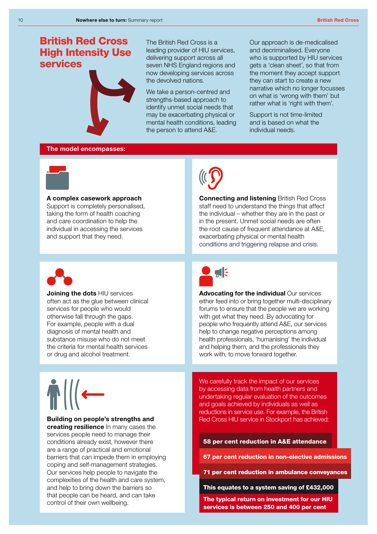# British Red Cross High Intensity Use services



The British Red Cross is a leading provider of HIU services, delivering support across all seven NHS England regions and now developing services across the devolved nations.

We take a person-centred and strengths-based approach to identify unmet social needs that may be exacerbating physical or mental health conditions, leading the person to attend A&E.

Our approach is de-medicalised and decriminalised. Everyone who is supported by HIU services gets a 'clean sheet', so that from the moment they accept support they can start to create a new narrative which no longer focusses on what is 'wrong with them' but rather what is 'right with them'.

Support is not time-limited and is based on what the individual needs.

### The model encompasses:



A complex casework approach Support is completely personalised, taking the form of health coaching and care coordination to help the individual in accessing the services and support that they need.



Joining the dots HIU services often act as the glue between clinical services for people who would otherwise fall through the gaps. For example, people with a dual diagnosis of mental health and substance misuse who do not meet the criteria for mental health services or drug and alcohol treatment.

# Building on people's strengths and

creating resilience In many cases the services people need to manage their conditions already exist, however there are a range of practical and emotional barriers that can impede them in employing coping and self-management strategies. Our services help people to navigate the complexities of the health and care system, and help to bring down the barriers so that people can be heard, and can take control of their own wellbeing.



Connecting and listening British Red Cross staff need to understand the things that affect the individual – whether they are in the past or in the present. Unmet social needs are often the root cause of frequent attendance at A&E, exacerbating physical or mental health conditions and triggering relapse and crisis.



Advocating for the individual Our services either feed into or bring together multi-disciplinary forums to ensure that the people we are working with get what they need. By advocating for people who frequently attend A&E, our services help to change negative perceptions among health professionals, 'humanising' the individual and helping them, and the professionals they work with, to move forward together.

We carefully track the impact of our services by accessing data from health partners and undertaking regular evaluation of the outcomes and goals achieved by individuals as well as reductions in service use. For example, the British Red Cross HIU service in Stockport has achieved:

# 58 per cent reduction in A&E attendance

67 per cent reduction in non-elective admissions

71 per cent reduction in ambulance conveyances

This equates to a system saving of £432,000

The typical return on investment for our HIU services is between 250 and 400 per cent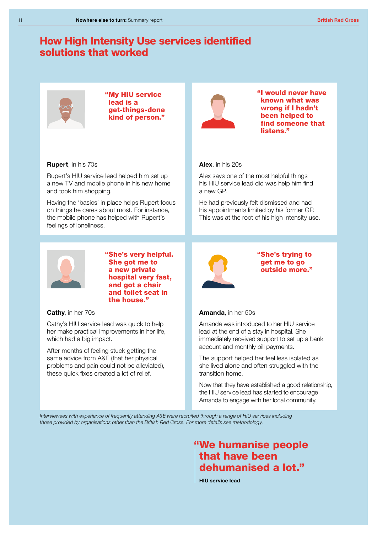# How High Intensity Use services identified solutions that worked



"My HIU service lead is a get-things-done kind of person."



"I would never have known what was wrong if I hadn't been helped to find someone that listens<sup>"</sup>

### Rupert, in his 70s

Rupert's HIU service lead helped him set up a new TV and mobile phone in his new home and took him shopping.

Having the 'basics' in place helps Rupert focus on things he cares about most. For instance, the mobile phone has helped with Rupert's feelings of loneliness.



"She's very helpful. She got me to a new private hospital very fast, and got a chair and toilet seat in the house."

Cathy, in her 70s

Cathy's HIU service lead was quick to help her make practical improvements in her life, which had a big impact.

After months of feeling stuck getting the same advice from A&E (that her physical problems and pain could not be alleviated), these quick fixes created a lot of relief.

## Alex, in his 20s

Alex says one of the most helpful things his HIU service lead did was help him find a new GP.

He had previously felt dismissed and had his appointments limited by his former GP. This was at the root of his high intensity use.



"She's trying to get me to go outside more."

### Amanda, in her 50s

Amanda was introduced to her HIU service lead at the end of a stay in hospital. She immediately received support to set up a bank account and monthly bill payments.

The support helped her feel less isolated as she lived alone and often struggled with the transition home.

Now that they have established a good relationship, the HIU service lead has started to encourage Amanda to engage with her local community.

*Interviewees with experience of frequently attending A&E were recruited through a range of HIU services including those provided by organisations other than the British Red Cross. For more details see methodology.*

# "We humanise people that have been dehumanised a lot."

HIU service lead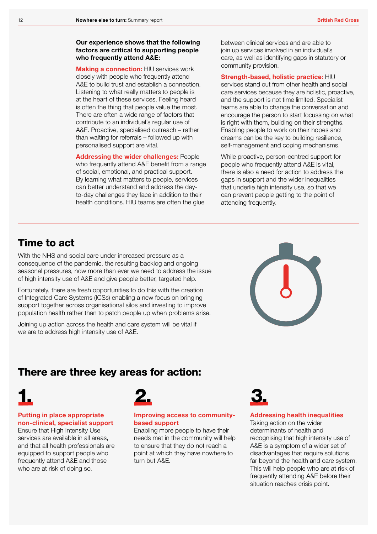### Our experience shows that the following factors are critical to supporting people who frequently attend A&E:

**Making a connection: HIU services work** closely with people who frequently attend A&E to build trust and establish a connection. Listening to what really matters to people is at the heart of these services. Feeling heard is often the thing that people value the most. There are often a wide range of factors that contribute to an individual's regular use of A&E. Proactive, specialised outreach – rather than waiting for referrals – followed up with personalised support are vital.

Addressing the wider challenges: People who frequently attend A&E benefit from a range of social, emotional, and practical support. By learning what matters to people, services can better understand and address the dayto-day challenges they face in addition to their health conditions. HIU teams are often the glue

between clinical services and are able to join up services involved in an individual's care, as well as identifying gaps in statutory or community provision.

### Strength-based, holistic practice: HIU

services stand out from other health and social care services because they are holistic, proactive, and the support is not time limited. Specialist teams are able to change the conversation and encourage the person to start focussing on what is right with them, building on their strengths. Enabling people to work on their hopes and dreams can be the key to building resilience, self-management and coping mechanisms.

While proactive, person-centred support for people who frequently attend A&E is vital, there is also a need for action to address the gaps in support and the wider inequalities that underlie high intensity use, so that we can prevent people getting to the point of attending frequently.

# Time to act

With the NHS and social care under increased pressure as a consequence of the pandemic, the resulting backlog and ongoing seasonal pressures, now more than ever we need to address the issue of high intensity use of A&E and give people better, targeted help.

Fortunately, there are fresh opportunities to do this with the creation of Integrated Care Systems (ICSs) enabling a new focus on bringing support together across organisational silos and investing to improve population health rather than to patch people up when problems arise.

Joining up action across the health and care system will be vital if we are to address high intensity use of A&E.



# There are three key areas for action:

# Putting in place appropriate non-clinical, specialist support

Ensure that High Intensity Use services are available in all areas, and that all health professionals are equipped to support people who frequently attend A&E and those who are at risk of doing so.



# Improving access to communitybased support

Enabling more people to have their needs met in the community will help to ensure that they do not reach a point at which they have nowhere to turn but A&E.



### Addressing health inequalities

Taking action on the wider determinants of health and recognising that high intensity use of A&E is a symptom of a wider set of disadvantages that require solutions far beyond the health and care system. This will help people who are at risk of frequently attending A&E before their situation reaches crisis point.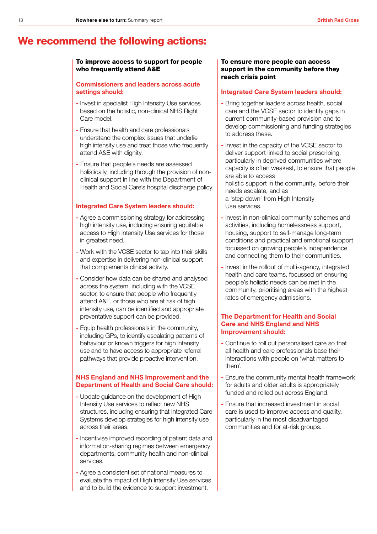# We recommend the following actions:

### To improve access to support for people who frequently attend A&E

### Commissioners and leaders across acute settings should:

- Invest in specialist High Intensity Use services based on the holistic, non-clinical NHS Right Care model.
- Ensure that health and care professionals understand the complex issues that underlie high intensity use and treat those who frequently attend A&E with dignity.
- Ensure that people's needs are assessed holistically, including through the provision of nonclinical support in line with the Department of Health and Social Care's hospital discharge policy.

### Integrated Care System leaders should:

- Agree a commissioning strategy for addressing high intensity use, including ensuring equitable access to High Intensity Use services for those in greatest need.
- Work with the VCSE sector to tap into their skills and expertise in delivering non-clinical support that complements clinical activity.
- Consider how data can be shared and analysed across the system, including with the VCSE sector, to ensure that people who frequently attend A&E, or those who are at risk of high intensity use, can be identified and appropriate preventative support can be provided.
- Equip health professionals in the community, including GPs, to identify escalating patterns of behaviour or known triggers for high intensity use and to have access to appropriate referral pathways that provide proactive intervention.

# NHS England and NHS Improvement and the Department of Health and Social Care should:

- Update guidance on the development of High Intensity Use services to reflect new NHS structures, including ensuring that Integrated Care Systems develop strategies for high intensity use across their areas.
- Incentivise improved recording of patient data and information-sharing regimes between emergency departments, community health and non-clinical services.
- Agree a consistent set of national measures to evaluate the impact of High Intensity Use services and to build the evidence to support investment.

### To ensure more people can access support in the community before they reach crisis point

### Integrated Care System leaders should:

- Bring together leaders across health, social care and the VCSE sector to identify gaps in current community-based provision and to develop commissioning and funding strategies to address these.
- Invest in the capacity of the VCSE sector to deliver support linked to social prescribing, particularly in deprived communities where capacity is often weakest, to ensure that people are able to access holistic support in the community, before their needs escalate, and as a 'step down' from High Intensity Use services.
- Invest in non-clinical community schemes and activities, including homelessness support, housing, support to self-manage long-term conditions and practical and emotional support focussed on growing people's independence and connecting them to their communities.
- Invest in the rollout of multi-agency, integrated health and care teams, focussed on ensuring people's holistic needs can be met in the community, prioritising areas with the highest rates of emergency admissions.

# The Department for Health and Social Care and NHS England and NHS Improvement should:

- Continue to roll out personalised care so that all health and care professionals base their interactions with people on 'what matters to them'.
- Ensure the community mental health framework for adults and older adults is appropriately funded and rolled out across England.
- Ensure that increased investment in social care is used to improve access and quality, particularly in the most disadvantaged communities and for at-risk groups.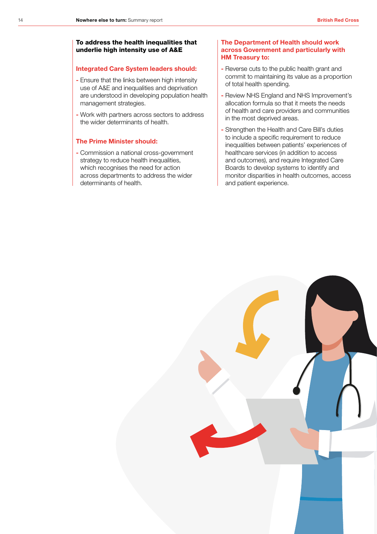# To address the health inequalities that underlie high intensity use of A&E

### Integrated Care System leaders should:

- Ensure that the links between high intensity use of A&E and inequalities and deprivation are understood in developing population health management strategies.
- Work with partners across sectors to address the wider determinants of health.

### The Prime Minister should:

- Commission a national cross-government strategy to reduce health inequalities, which recognises the need for action across departments to address the wider determinants of health.

### The Department of Health should work across Government and particularly with HM Treasury to:

- Reverse cuts to the public health grant and commit to maintaining its value as a proportion of total health spending.
- Review NHS England and NHS Improvement's allocation formula so that it meets the needs of health and care providers and communities in the most deprived areas.
- Strengthen the Health and Care Bill's duties to include a specific requirement to reduce inequalities between patients' experiences of healthcare services (in addition to access and outcomes), and require Integrated Care Boards to develop systems to identify and monitor disparities in health outcomes, access and patient experience.